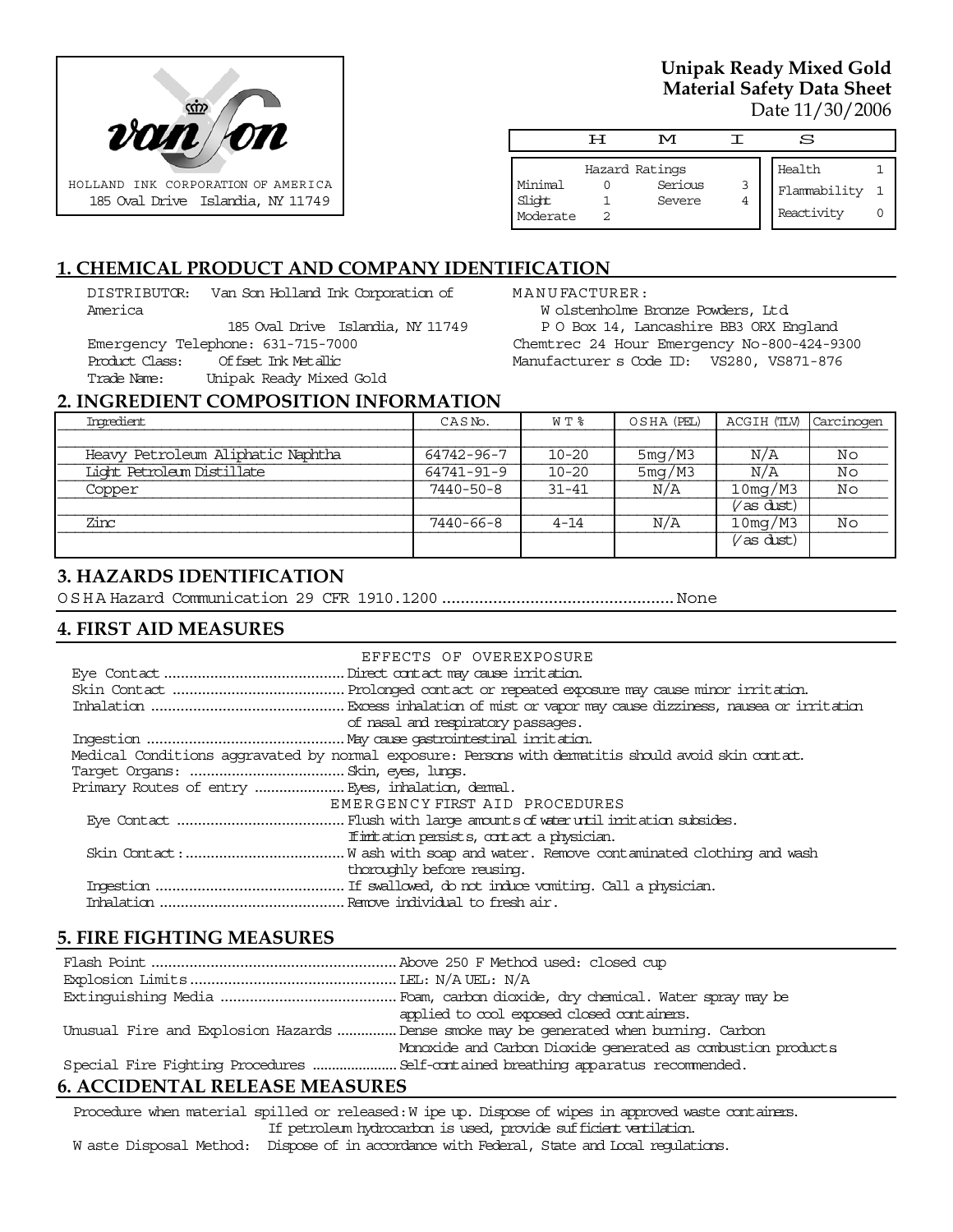

## **Unipak Ready Mixed Gold Material Safety Data Sheet** Date 11/30/2006

|                               | ਜ | M                                   |        | S                                    |  |
|-------------------------------|---|-------------------------------------|--------|--------------------------------------|--|
| Minimal<br>Slight<br>Moderate |   | Hazard Ratings<br>Serious<br>Severe | 3<br>4 | Health<br>Flammability<br>Reactivity |  |

# **1. CHEMICAL PRODUCT AND COMPANY IDENTIFICATION**

DISTRIBUTOR: Van Son Holland Ink Corporation of America

185 Oval Drive Islandia, NY 11749 Emergency Telephone: 631-715-7000 Product Class: Offset Ink Metallic Trade Name: Unipak Ready Mixed Gold

MANUFACTURER:

W olstenholme Bronze Powders, Ltd. P O Box 14, Lancashire BB3 ORX England Chemtrec 24 Hour Emergency No-800-424-9300 Manufacturer s Code ID: VS280, VS871-876

#### **2. INGREDIENT COMPOSITION INFORMATION**

| Ingredient                        | CASN <sub>o</sub> . | W T %     | OSHA (PEL) | ACGIH (TLV)        | Carcinogen |
|-----------------------------------|---------------------|-----------|------------|--------------------|------------|
|                                   |                     |           |            |                    |            |
| Heavy Petroleum Aliphatic Naphtha | 64742-96-7          | $10 - 20$ | 5mg/M3     | N/A                | Νo         |
| Light Petroleum Distillate        | 64741-91-9          | $10 - 20$ | 5mg/M3     | N/A                | No         |
| Copper                            | $7440 - 50 - 8$     | $31 - 41$ | N/A        | 10mg/M3            | No         |
|                                   |                     |           |            | $\sqrt{}$ as dust) |            |
| Zinc                              | 7440-66-8           | $4 - 14$  | N/A        | 10mg/M3            | Νo         |
|                                   |                     |           |            | $V$ as dust)       |            |

## **3. HAZARDS IDENTIFICATION**

OSHA Hazard Communication 29 CFR 1910.1200..................................................None

# **4. FIRST AID MEASURES**

| EFFECTS OF OVEREXPOSURE                                                                            |
|----------------------------------------------------------------------------------------------------|
|                                                                                                    |
|                                                                                                    |
|                                                                                                    |
| of nasal and respiratory passages.                                                                 |
|                                                                                                    |
| Medical Conditions aggravated by normal exposure: Persons with dematitis should avoid skin contat. |
|                                                                                                    |
|                                                                                                    |
| EMERGENCY FIRST AID PROCEDURES                                                                     |
|                                                                                                    |
| If initiation persists, contact a physician.                                                       |
|                                                                                                    |
| thoroughly before reusing.                                                                         |
|                                                                                                    |
|                                                                                                    |

# **5. FIRE FIGHTING MEASURES**

|                                                                                       | applied to cool exposed closed containers.                   |  |  |
|---------------------------------------------------------------------------------------|--------------------------------------------------------------|--|--|
| Unusual Fire and Explosion Hazards  Dense smoke may be generated when burning. Carbon |                                                              |  |  |
|                                                                                       | Monoxide and Carbon Dioxide generated as combustion products |  |  |
|                                                                                       |                                                              |  |  |

# **6. ACCIDENTAL RELEASE MEASURES**

Procedure when material spilled or released: W ipe up. Dispose of wipes in approved waste containers. If petroleum hydrocarbon is used, provide sufficient ventilation.

W aste Disposal Method: Dispose of in accordance with Federal, State and Local regulations.